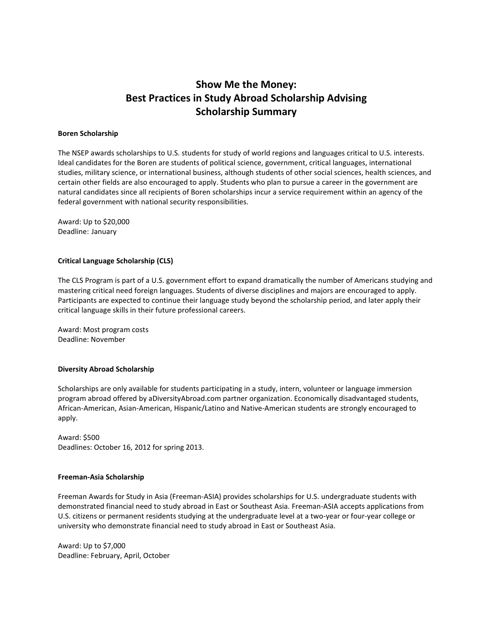## **Show Me the Money: Best Practices in Study Abroad Scholarship Advising Scholarship Summary**

#### **Boren Scholarship**

The NSEP awards scholarships to U.S. students for study of world regions and languages critical to U.S. interests. Ideal candidates for the Boren are students of political science, government, critical languages, international studies, military science, or international business, although students of other social sciences, health sciences, and certain other fields are also encouraged to apply. Students who plan to pursue a career in the government are natural candidates since all recipients of Boren scholarships incur a service requirement within an agency of the federal government with national security responsibilities.

Award: Up to \$20,000 Deadline: January

#### **Critical Language Scholarship (CLS)**

The CLS Program is part of a U.S. government effort to expand dramatically the number of Americans studying and mastering critical need foreign languages. Students of diverse disciplines and majors are encouraged to apply. Participants are expected to continue their language study beyond the scholarship period, and later apply their critical language skills in their future professional careers.

Award: Most program costs Deadline: November

#### **Diversity Abroad Scholarship**

Scholarships are only available for students participating in a study, intern, volunteer or language immersion program abroad offered by aDiversityAbroad.com partner organization. Economically disadvantaged students, African-American, Asian-American, Hispanic/Latino and Native-American students are strongly encouraged to apply.

Award: \$500 Deadlines: October 16, 2012 for spring 2013.

#### **Freeman-Asia Scholarship**

Freeman Awards for Study in Asia (Freeman-ASIA) provides scholarships for U.S. undergraduate students with demonstrated financial need to study abroad in East or Southeast Asia. Freeman-ASIA accepts applications from U.S. citizens or permanent residents studying at the undergraduate level at a two-year or four-year college or university who demonstrate financial need to study abroad in East or Southeast Asia.

Award: Up to \$7,000 Deadline: February, April, October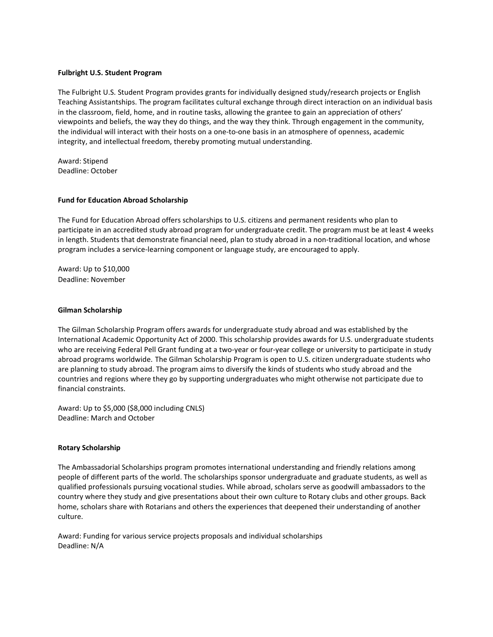#### **Fulbright U.S. Student Program**

The Fulbright U.S. Student Program provides grants for individually designed study/research projects or English Teaching Assistantships. The program facilitates cultural exchange through direct interaction on an individual basis in the classroom, field, home, and in routine tasks, allowing the grantee to gain an appreciation of others' viewpoints and beliefs, the way they do things, and the way they think. Through engagement in the community, the individual will interact with their hosts on a one-to-one basis in an atmosphere of openness, academic integrity, and intellectual freedom, thereby promoting mutual understanding.

Award: Stipend Deadline: October

#### **Fund for Education Abroad Scholarship**

The Fund for Education Abroad offers scholarships to U.S. citizens and permanent residents who plan to participate in an accredited study abroad program for undergraduate credit. The program must be at least 4 weeks in length. Students that demonstrate financial need, plan to study abroad in a non-traditional location, and whose program includes a service-learning component or language study, are encouraged to apply.

Award: Up to \$10,000 Deadline: November

#### **Gilman Scholarship**

The Gilman Scholarship Program offers awards for undergraduate study abroad and was established by the International Academic Opportunity Act of 2000. This scholarship provides awards for U.S. undergraduate students who are receiving Federal Pell Grant funding at a two-year or four-year college or university to participate in study abroad programs worldwide. The Gilman Scholarship Program is open to U.S. citizen undergraduate students who are planning to study abroad. The program aims to diversify the kinds of students who study abroad and the countries and regions where they go by supporting undergraduates who might otherwise not participate due to financial constraints.

Award: Up to \$5,000 (\$8,000 including CNLS) Deadline: March and October

#### **Rotary Scholarship**

The Ambassadorial Scholarships program promotes international understanding and friendly relations among people of different parts of the world. The scholarships sponsor undergraduate and graduate students, as well as qualified professionals pursuing vocational studies. While abroad, scholars serve as goodwill ambassadors to the country where they study and give presentations about their own culture to Rotary clubs and other groups. Back home, scholars share with Rotarians and others the experiences that deepened their understanding of another culture.

Award: Funding for various service projects proposals and individual scholarships Deadline: N/A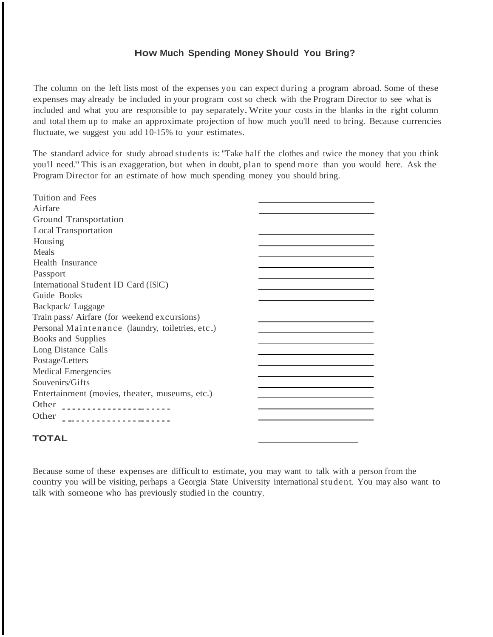### **How Much Spending Money Should You Bring?**

The column on the left lists most of the expenses you can expect during a program abroad. Some of these expenses may already be included in your program cost so check with the Program Director to see what is included and what you are responsible to pay separately.Write your costs in the blanks in the right column and total them up to make an approximate projection of how much you'll need to bring. Because currencies fluctuate, we suggest you add 10-15% to your estimates.

The standard advice for study abroad students is:"Take half the clothes and twice the money that you think you'll need."This is an exaggeration, but when in doubt, plan to spend more than you would here. Ask the Program Director for an estimate of how much spending money you should bring.

| Tuition and Fees                                 |  |
|--------------------------------------------------|--|
| Airfare                                          |  |
| Ground Transportation                            |  |
| <b>Local Transportation</b>                      |  |
| Housing                                          |  |
| Meals                                            |  |
| Health Insurance                                 |  |
| Passport                                         |  |
| International Student ID Card (ISIC)             |  |
| Guide Books                                      |  |
| Backpack/Luggage                                 |  |
| Train pass/ Airfare (for weekend excursions)     |  |
| Personal Maintenance (laundry, toiletries, etc.) |  |
| Books and Supplies                               |  |
| Long Distance Calls                              |  |
| Postage/Letters                                  |  |
| <b>Medical Emergencies</b>                       |  |
| Souvenirs/Gifts                                  |  |
| Entertainment (movies, theater, museums, etc.)   |  |
| Other<br>---------------------                   |  |
| Other                                            |  |
|                                                  |  |

## **TOTAL**

Because some of these expenses are difficult to estimate, you may want to talk with a person from the country you will be visiting, perhaps a Georgia State University international student. You may also want to talk with someone who has previously studied in the country.